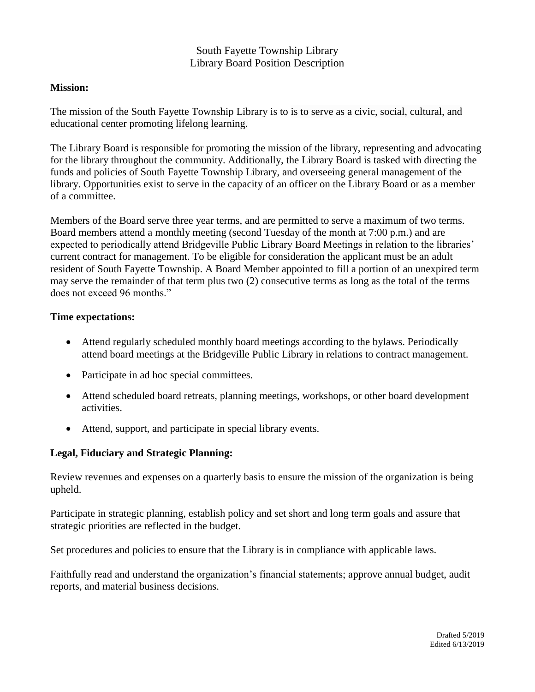## South Fayette Township Library Library Board Position Description

### **Mission:**

The mission of the South Fayette Township Library is to is to serve as a civic, social, cultural, and educational center promoting lifelong learning.

The Library Board is responsible for promoting the mission of the library, representing and advocating for the library throughout the community. Additionally, the Library Board is tasked with directing the funds and policies of South Fayette Township Library, and overseeing general management of the library. Opportunities exist to serve in the capacity of an officer on the Library Board or as a member of a committee.

Members of the Board serve three year terms, and are permitted to serve a maximum of two terms. Board members attend a monthly meeting (second Tuesday of the month at 7:00 p.m.) and are expected to periodically attend Bridgeville Public Library Board Meetings in relation to the libraries' current contract for management. To be eligible for consideration the applicant must be an adult resident of South Fayette Township. A Board Member appointed to fill a portion of an unexpired term may serve the remainder of that term plus two (2) consecutive terms as long as the total of the terms does not exceed 96 months."

## **Time expectations:**

- Attend regularly scheduled monthly board meetings according to the bylaws. Periodically attend board meetings at the Bridgeville Public Library in relations to contract management.
- Participate in ad hoc special committees.
- Attend scheduled board retreats, planning meetings, workshops, or other board development activities.
- Attend, support, and participate in special library events.

# **Legal, Fiduciary and Strategic Planning:**

Review revenues and expenses on a quarterly basis to ensure the mission of the organization is being upheld.

Participate in strategic planning, establish policy and set short and long term goals and assure that strategic priorities are reflected in the budget.

Set procedures and policies to ensure that the Library is in compliance with applicable laws.

Faithfully read and understand the organization's financial statements; approve annual budget, audit reports, and material business decisions.